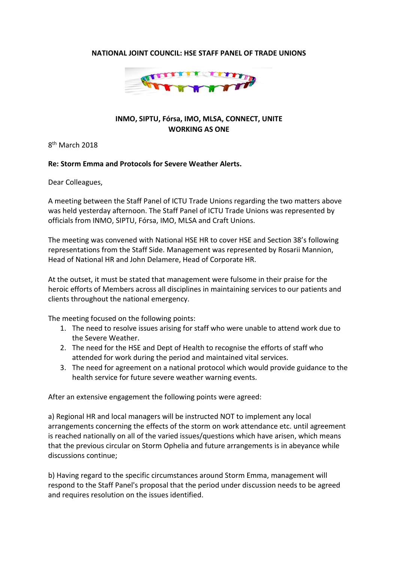## **NATIONAL JOINT COUNCIL: HSE STAFF PANEL OF TRADE UNIONS**



## **INMO, SIPTU, Fórsa, IMO, MLSA, CONNECT, UNITE WORKING AS ONE**

8<sup>th</sup> March 2018

## **Re: Storm Emma and Protocols for Severe Weather Alerts.**

Dear Colleagues,

A meeting between the Staff Panel of ICTU Trade Unions regarding the two matters above was held yesterday afternoon. The Staff Panel of ICTU Trade Unions was represented by officials from INMO, SIPTU, Fórsa, IMO, MLSA and Craft Unions.

The meeting was convened with National HSE HR to cover HSE and Section 38's following representations from the Staff Side. Management was represented by Rosarii Mannion, Head of National HR and John Delamere, Head of Corporate HR.

At the outset, it must be stated that management were fulsome in their praise for the heroic efforts of Members across all disciplines in maintaining services to our patients and clients throughout the national emergency.

The meeting focused on the following points:

- 1. The need to resolve issues arising for staff who were unable to attend work due to the Severe Weather.
- 2. The need for the HSE and Dept of Health to recognise the efforts of staff who attended for work during the period and maintained vital services.
- 3. The need for agreement on a national protocol which would provide guidance to the health service for future severe weather warning events.

After an extensive engagement the following points were agreed:

a) Regional HR and local managers will be instructed NOT to implement any local arrangements concerning the effects of the storm on work attendance etc. until agreement is reached nationally on all of the varied issues/questions which have arisen, which means that the previous circular on Storm Ophelia and future arrangements is in abeyance while discussions continue;

b) Having regard to the specific circumstances around Storm Emma, management will respond to the Staff Panel's proposal that the period under discussion needs to be agreed and requires resolution on the issues identified.